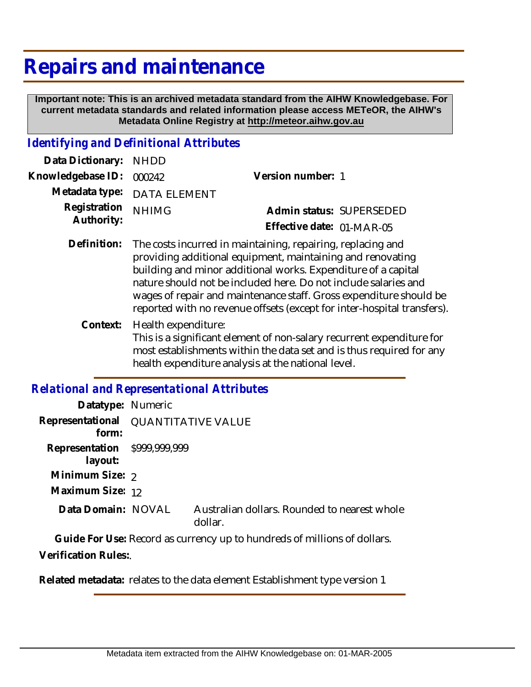# **Repairs and maintenance**

 **Important note: This is an archived metadata standard from the AIHW Knowledgebase. For current metadata standards and related information please access METeOR, the AIHW's Metadata Online Registry at http://meteor.aihw.gov.au**

#### *Identifying and Definitional Attributes*

| Data Dictionary: NHDD            |                             |                           |  |
|----------------------------------|-----------------------------|---------------------------|--|
| Knowledgebase ID: 000242         |                             | Version number: 1         |  |
|                                  | Metadata type: DATA ELEMENT |                           |  |
| Registration NHIMG<br>Authority: |                             | Admin status: SUPERSEDED  |  |
|                                  |                             | Effective date: 01-MAR-05 |  |

- Definition: The costs incurred in maintaining, repairing, replacing and providing additional equipment, maintaining and renovating building and minor additional works. Expenditure of a capital nature should not be included here. Do not include salaries and wages of repair and maintenance staff. Gross expenditure should be reported with no revenue offsets (except for inter-hospital transfers).
	- Health expenditure: This is a significant element of non-salary recurrent expenditure for most establishments within the data set and is thus required for any health expenditure analysis at the national level. **Context:**

#### *Relational and Representational Attributes*

| Datatype: Numeric                       |                                     |                                                         |
|-----------------------------------------|-------------------------------------|---------------------------------------------------------|
| form:                                   | Representational QUANTITATIVE VALUE |                                                         |
| Representation \$999,999,999<br>layout: |                                     |                                                         |
| Minimum Size: 2                         |                                     |                                                         |
| Maximum Size: 12                        |                                     |                                                         |
| Data Domain: NOVAL                      |                                     | Australian dollars. Rounded to nearest whole<br>dollar. |
|                                         |                                     |                                                         |

**Guide For Use:** Record as currency up to hundreds of millions of dollars.

**Verification Rules:**.

**Related metadata:** relates to the data element Establishment type version 1